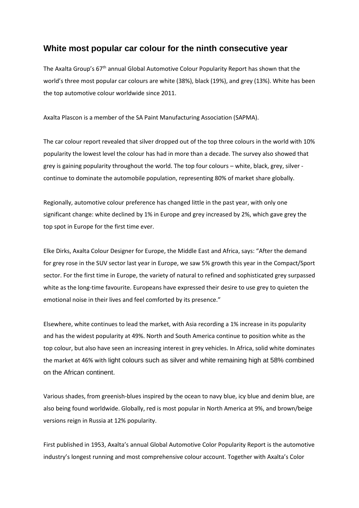## **White most popular car colour for the ninth consecutive year**

The Axalta Group's 67th annual Global Automotive Colour Popularity Report has shown that the world's three most popular car colours are white (38%), black (19%), and grey (13%). White has been the top automotive colour worldwide since 2011.

Axalta Plascon is a member of the SA Paint Manufacturing Association (SAPMA).

The car colour report revealed that silver dropped out of the top three colours in the world with 10% popularity the lowest level the colour has had in more than a decade. The survey also showed that grey is gaining popularity throughout the world. The top four colours – white, black, grey, silver continue to dominate the automobile population, representing 80% of market share globally.

Regionally, automotive colour preference has changed little in the past year, with only one significant change: white declined by 1% in Europe and grey increased by 2%, which gave grey the top spot in Europe for the first time ever.

Elke Dirks, Axalta Colour Designer for Europe, the Middle East and Africa, says: "After the demand for grey rose in the SUV sector last year in Europe, we saw 5% growth this year in the Compact/Sport sector. For the first time in Europe, the variety of natural to refined and sophisticated grey surpassed white as the long-time favourite. Europeans have expressed their desire to use grey to quieten the emotional noise in their lives and feel comforted by its presence."

Elsewhere, white continues to lead the market, with Asia recording a 1% increase in its popularity and has the widest popularity at 49%. North and South America continue to position white as the top colour, but also have seen an increasing interest in grey vehicles. In Africa, solid white dominates the market at 46% with light colours such as silver and white remaining high at 58% combined on the African continent.

Various shades, from greenish-blues inspired by the ocean to navy blue, icy blue and denim blue, are also being found worldwide. Globally, red is most popular in North America at 9%, and brown/beige versions reign in Russia at 12% popularity.

First published in 1953, Axalta's annual Global Automotive Color Popularity Report is the automotive industry's longest running and most comprehensive colour account. Together with Axalta's Color